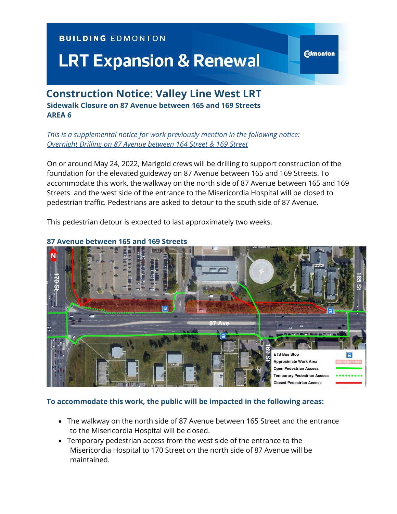## **BUILDING EDMONTON**

# **LRT Expansion & Renewal**

# **Construction Notice: Valley Line West LRT Sidewalk Closure on 87 Avenue between 165 and 169 Streets AREA 6**

*This is a supplemental notice for work previously mention in the following notice: [Overnight Drilling on 87 Avenue between 164 Street & 169 Street](https://vlwcommprod.blob.core.windows.net/vlwcomm-files/fcaff281-9b7a-4d66-9154-76e3df00816e-54e23d9c-c33b-4c49-8d71-6ccbda1c3e63-Overnight%20Drilling%2087%20Ave%20&%20164%20St.pdf)*

On or around May 24, 2022, Marigold crews will be drilling to support construction of the foundation for the elevated guideway on 87 Avenue between 165 and 169 Streets. To accommodate this work, the walkway on the north side of 87 Avenue between 165 and 169 Streets and the west side of the entrance to the Misericordia Hospital will be closed to pedestrian traffic. Pedestrians are asked to detour to the south side of 87 Avenue.

**Edmonton** 

This pedestrian detour is expected to last approximately two weeks.



#### **87 Avenue between 165 and 169 Streets**

#### **To accommodate this work, the public will be impacted in the following areas:**

- The walkway on the north side of 87 Avenue between 165 Street and the entrance to the Misericordia Hospital will be closed.
- Temporary pedestrian access from the west side of the entrance to the Misericordia Hospital to 170 Street on the north side of 87 Avenue will be maintained.